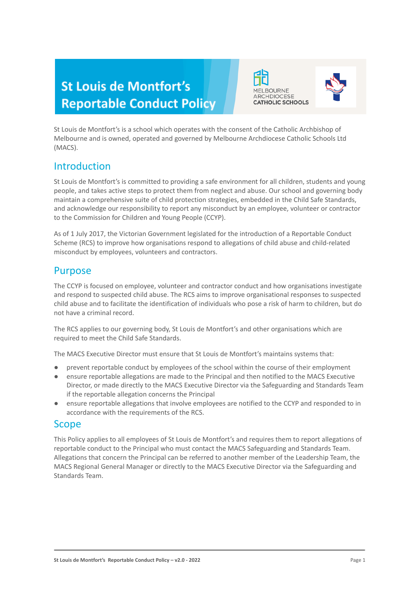# **St Louis de Montfort's Reportable Conduct Policy**





St Louis de Montfort's is a school which operates with the consent of the Catholic Archbishop of Melbourne and is owned, operated and governed by Melbourne Archdiocese Catholic Schools Ltd (MACS).

### Introduction

St Louis de Montfort's is committed to providing a safe environment for all children, students and young people, and takes active steps to protect them from neglect and abuse. Our school and governing body maintain a comprehensive suite of child protection strategies, embedded in the Child Safe Standards, and acknowledge our responsibility to report any misconduct by an employee, volunteer or contractor to the Commission for Children and Young People (CCYP).

As of 1 July 2017, the Victorian Government legislated for the introduction of a Reportable Conduct Scheme (RCS) to improve how organisations respond to allegations of child abuse and child-related misconduct by employees, volunteers and contractors.

### Purpose

The CCYP is focused on employee, volunteer and contractor conduct and how organisations investigate and respond to suspected child abuse. The RCS aims to improve organisational responses to suspected child abuse and to facilitate the identification of individuals who pose a risk of harm to children, but do not have a criminal record.

The RCS applies to our governing body, St Louis de Montfort's and other organisations which are required to meet the Child Safe Standards.

The MACS Executive Director must ensure that St Louis de Montfort's maintains systems that:

- prevent reportable conduct by employees of the school within the course of their employment
- ensure reportable allegations are made to the Principal and then notified to the MACS Executive Director, or made directly to the MACS Executive Director via the Safeguarding and Standards Team if the reportable allegation concerns the Principal
- ensure reportable allegations that involve employees are notified to the CCYP and responded to in accordance with the requirements of the RCS.

### Scope

This Policy applies to all employees of St Louis de Montfort's and requires them to report allegations of reportable conduct to the Principal who must contact the MACS Safeguarding and Standards Team. Allegations that concern the Principal can be referred to another member of the Leadership Team, the MACS Regional General Manager or directly to the MACS Executive Director via the Safeguarding and Standards Team.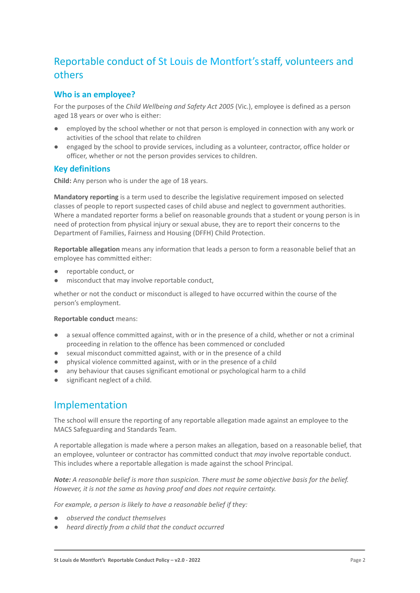## Reportable conduct of St Louis de Montfort'sstaff, volunteers and others

#### **Who is an employee?**

For the purposes of the *Child Wellbeing and Safety Act 2005* (Vic.), employee is defined as a person aged 18 years or over who is either:

- employed by the school whether or not that person is employed in connection with any work or activities of the school that relate to children
- engaged by the school to provide services, including as a volunteer, contractor, office holder or officer, whether or not the person provides services to children.

#### **Key definitions**

**Child:** Any person who is under the age of 18 years.

**Mandatory reporting** is a term used to describe the legislative requirement imposed on selected classes of people to report suspected cases of child abuse and neglect to government authorities. Where a mandated reporter forms a belief on reasonable grounds that a student or young person is in need of protection from physical injury or sexual abuse, they are to report their concerns to the Department of Families, Fairness and Housing (DFFH) Child Protection.

**Reportable allegation** means any information that leads a person to form a reasonable belief that an employee has committed either:

- reportable conduct, or
- misconduct that may involve reportable conduct,

whether or not the conduct or misconduct is alleged to have occurred within the course of the person's employment.

#### **Reportable conduct** means:

- a sexual offence committed against, with or in the presence of a child, whether or not a criminal proceeding in relation to the offence has been commenced or concluded
- sexual misconduct committed against, with or in the presence of a child
- physical violence committed against, with or in the presence of a child
- any behaviour that causes significant emotional or psychological harm to a child
- significant neglect of a child.

### Implementation

The school will ensure the reporting of any reportable allegation made against an employee to the MACS Safeguarding and Standards Team.

A reportable allegation is made where a person makes an allegation, based on a reasonable belief, that an employee, volunteer or contractor has committed conduct that *may* involve reportable conduct. This includes where a reportable allegation is made against the school Principal.

*Note: A reasonable belief is more than suspicion. There must be some objective basis for the belief. However, it is not the same as having proof and does not require certainty.*

*For example, a person is likely to have a reasonable belief if they:*

- *● observed the conduct themselves*
- *● heard directly from a child that the conduct occurred*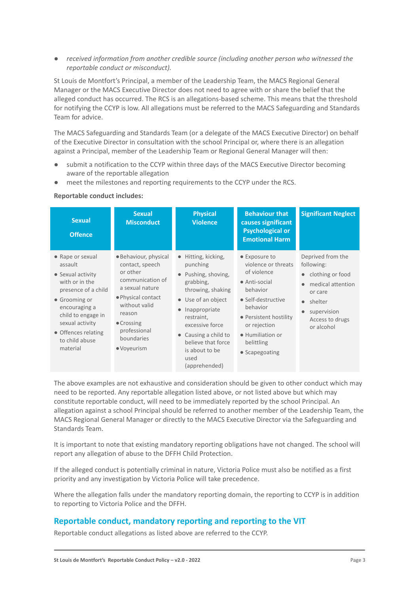*● received information from another credible source (including another person who witnessed the reportable conduct or misconduct).*

St Louis de Montfort's Principal, a member of the Leadership Team, the MACS Regional General Manager or the MACS Executive Director does not need to agree with or share the belief that the alleged conduct has occurred. The RCS is an allegations-based scheme. This means that the threshold for notifying the CCYP is low. All allegations must be referred to the MACS Safeguarding and Standards Team for advice.

The MACS Safeguarding and Standards Team (or a delegate of the MACS Executive Director) on behalf of the Executive Director in consultation with the school Principal or, where there is an allegation against a Principal, member of the Leadership Team or Regional General Manager will then:

- submit a notification to the CCYP within three days of the MACS Executive Director becoming aware of the reportable allegation
- meet the milestones and reporting requirements to the CCYP under the RCS.

#### **Reportable conduct includes:**

| <b>Sexual</b><br><b>Offence</b>                                                                                                                                                                                           | <b>Sexual</b><br><b>Misconduct</b>                                                                                                                                                                              | <b>Physical</b><br><b>Violence</b>                                                                                                                                                                                                                               | <b>Behaviour that</b><br>causes significant<br><b>Psychological or</b><br><b>Emotional Harm</b>                                                                                                                  | <b>Significant Neglect</b>                                                                                                                                  |
|---------------------------------------------------------------------------------------------------------------------------------------------------------------------------------------------------------------------------|-----------------------------------------------------------------------------------------------------------------------------------------------------------------------------------------------------------------|------------------------------------------------------------------------------------------------------------------------------------------------------------------------------------------------------------------------------------------------------------------|------------------------------------------------------------------------------------------------------------------------------------------------------------------------------------------------------------------|-------------------------------------------------------------------------------------------------------------------------------------------------------------|
| • Rape or sexual<br>assault<br>• Sexual activity<br>with or in the<br>presence of a child<br>• Grooming or<br>encouraging a<br>child to engage in<br>sexual activity<br>• Offences relating<br>to child abuse<br>material | • Behaviour, physical<br>contact, speech<br>or other<br>communication of<br>a sexual nature<br>• Physical contact<br>without valid<br>reason<br>$\bullet$ Crossing<br>professional<br>boundaries<br>• Voyeurism | Hitting, kicking,<br>$\bullet$<br>punching<br>Pushing, shoving,<br>grabbing,<br>throwing, shaking<br>• Use of an object<br>Inappropriate<br>restraint,<br>excessive force<br>Causing a child to<br>believe that force<br>is about to be<br>used<br>(apprehended) | • Exposure to<br>violence or threats<br>of violence<br>• Anti-social<br>behavior<br>• Self-destructive<br>behavior<br>• Persistent hostility<br>or rejection<br>• Humiliation or<br>belittling<br>• Scapegoating | Deprived from the<br>following:<br>clothing or food<br>medical attention<br>or care<br>shelter<br>$\bullet$<br>supervision<br>Access to drugs<br>or alcohol |

The above examples are not exhaustive and consideration should be given to other conduct which may need to be reported. Any reportable allegation listed above, or not listed above but which may constitute reportable conduct, will need to be immediately reported by the school Principal. An allegation against a school Principal should be referred to another member of the Leadership Team, the MACS Regional General Manager or directly to the MACS Executive Director via the Safeguarding and Standards Team.

It is important to note that existing mandatory reporting obligations have not changed. The school will report any allegation of abuse to the DFFH Child Protection.

If the alleged conduct is potentially criminal in nature, Victoria Police must also be notified as a first priority and any investigation by Victoria Police will take precedence.

Where the allegation falls under the mandatory reporting domain, the reporting to CCYP is in addition to reporting to Victoria Police and the DFFH.

#### **Reportable conduct, mandatory reporting and reporting to the VIT**

Reportable conduct allegations as listed above are referred to the CCYP.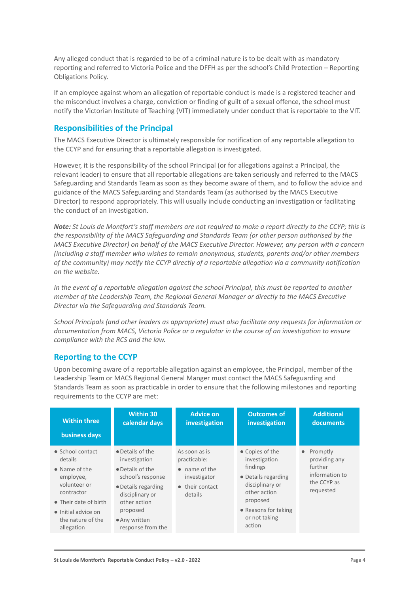Any alleged conduct that is regarded to be of a criminal nature is to be dealt with as mandatory reporting and referred to Victoria Police and the DFFH as per the school's Child Protection – Reporting Obligations Policy.

If an employee against whom an allegation of reportable conduct is made is a registered teacher and the misconduct involves a charge, conviction or finding of guilt of a sexual offence, the school must notify the Victorian Institute of Teaching (VIT) immediately under conduct that is reportable to the VIT.

#### **Responsibilities of the Principal**

The MACS Executive Director is ultimately responsible for notification of any reportable allegation to the CCYP and for ensuring that a reportable allegation is investigated.

However, it is the responsibility of the school Principal (or for allegations against a Principal, the relevant leader) to ensure that all reportable allegations are taken seriously and referred to the MACS Safeguarding and Standards Team as soon as they become aware of them, and to follow the advice and guidance of the MACS Safeguarding and Standards Team (as authorised by the MACS Executive Director) to respond appropriately. This will usually include conducting an investigation or facilitating the conduct of an investigation.

*Note: St Louis de Montfort's staff members are not required to make a report directly to the CCYP; this is the responsibility of the MACS Safeguarding and Standards Team (or other person authorised by the MACS Executive Director) on behalf of the MACS Executive Director. However, any person with a concern (including a staff member who wishes to remain anonymous, students, parents and/or other members of the community) may notify the CCYP directly of a reportable allegation via a community notification on the website.*

*In the event of a reportable allegation against the school Principal, this must be reported to another member of the Leadership Team, the Regional General Manager or directly to the MACS Executive Director via the Safeguarding and Standards Team.*

*School Principals (and other leaders as appropriate) must also facilitate any requests for information or documentation from MACS, Victoria Police or a regulator in the course of an investigation to ensure compliance with the RCS and the law.*

#### **Reporting to the CCYP**

Upon becoming aware of a reportable allegation against an employee, the Principal, member of the Leadership Team or MACS Regional General Manger must contact the MACS Safeguarding and Standards Team as soon as practicable in order to ensure that the following milestones and reporting requirements to the CCYP are met:

| <b>Within three</b>                                                                                                                                                                                | <b>Within 30</b>                                                                                                                                                                       | <b>Advice on</b>                                                                                                | <b>Outcomes of</b>                                                                                                                                                    | <b>Additional</b>                                                                               |
|----------------------------------------------------------------------------------------------------------------------------------------------------------------------------------------------------|----------------------------------------------------------------------------------------------------------------------------------------------------------------------------------------|-----------------------------------------------------------------------------------------------------------------|-----------------------------------------------------------------------------------------------------------------------------------------------------------------------|-------------------------------------------------------------------------------------------------|
| business days                                                                                                                                                                                      | calendar days                                                                                                                                                                          | investigation                                                                                                   | investigation                                                                                                                                                         | documents                                                                                       |
| $\bullet$ School contact<br>details<br>$\bullet$ Name of the<br>employee,<br>volunteer or<br>contractor<br>• Their date of birth<br>$\bullet$ Initial advice on<br>the nature of the<br>allegation | • Details of the<br>investigation<br>• Details of the<br>school's response<br>• Details regarding<br>disciplinary or<br>other action<br>proposed<br>• Any written<br>response from the | As soon as is<br>practicable:<br>$\bullet$ name of the<br>investigator<br>their contact<br>$\bullet$<br>details | • Copies of the<br>investigation<br>findings<br>• Details regarding<br>disciplinary or<br>other action<br>proposed<br>• Reasons for taking<br>or not taking<br>action | Promptly<br>$\bullet$<br>providing any<br>further<br>information to<br>the CCYP as<br>requested |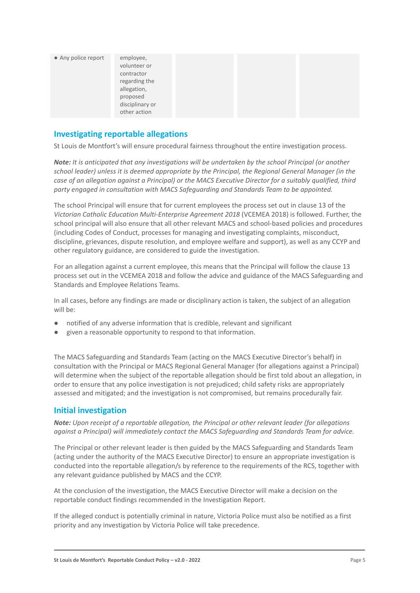| • Any police report | employee,<br>volunteer or<br>contractor<br>regarding the<br>allegation,<br>proposed<br>disciplinary or |  |  |
|---------------------|--------------------------------------------------------------------------------------------------------|--|--|
|                     | other action                                                                                           |  |  |

#### **Investigating reportable allegations**

St Louis de Montfort's will ensure procedural fairness throughout the entire investigation process.

*Note: It is anticipated that any investigations will be undertaken by the school Principal (or another school leader) unless it is deemed appropriate by the Principal, the Regional General Manager (in the case of an allegation against a Principal) or the MACS Executive Director for a suitably qualified, third party engaged in consultation with MACS Safeguarding and Standards Team to be appointed.*

The school Principal will ensure that for current employees the process set out in clause 13 of the *Victorian Catholic Education Multi-Enterprise Agreement 2018* (VCEMEA 2018) is followed. Further, the school principal will also ensure that all other relevant MACS and school-based policies and procedures (including Codes of Conduct, processes for managing and investigating complaints, misconduct, discipline, grievances, dispute resolution, and employee welfare and support), as well as any CCYP and other regulatory guidance, are considered to guide the investigation.

For an allegation against a current employee, this means that the Principal will follow the clause 13 process set out in the VCEMEA 2018 and follow the advice and guidance of the MACS Safeguarding and Standards and Employee Relations Teams.

In all cases, before any findings are made or disciplinary action is taken, the subject of an allegation will be:

- notified of any adverse information that is credible, relevant and significant
- given a reasonable opportunity to respond to that information.

The MACS Safeguarding and Standards Team (acting on the MACS Executive Director's behalf) in consultation with the Principal or MACS Regional General Manager (for allegations against a Principal) will determine when the subject of the reportable allegation should be first told about an allegation, in order to ensure that any police investigation is not prejudiced; child safety risks are appropriately assessed and mitigated; and the investigation is not compromised, but remains procedurally fair.

#### **Initial investigation**

*Note: Upon receipt of a reportable allegation, the Principal or other relevant leader (for allegations against a Principal) will immediately contact the MACS Safeguarding and Standards Team for advice.*

The Principal or other relevant leader is then guided by the MACS Safeguarding and Standards Team (acting under the authority of the MACS Executive Director) to ensure an appropriate investigation is conducted into the reportable allegation/s by reference to the requirements of the RCS, together with any relevant guidance published by MACS and the CCYP.

At the conclusion of the investigation, the MACS Executive Director will make a decision on the reportable conduct findings recommended in the Investigation Report.

If the alleged conduct is potentially criminal in nature, Victoria Police must also be notified as a first priority and any investigation by Victoria Police will take precedence.